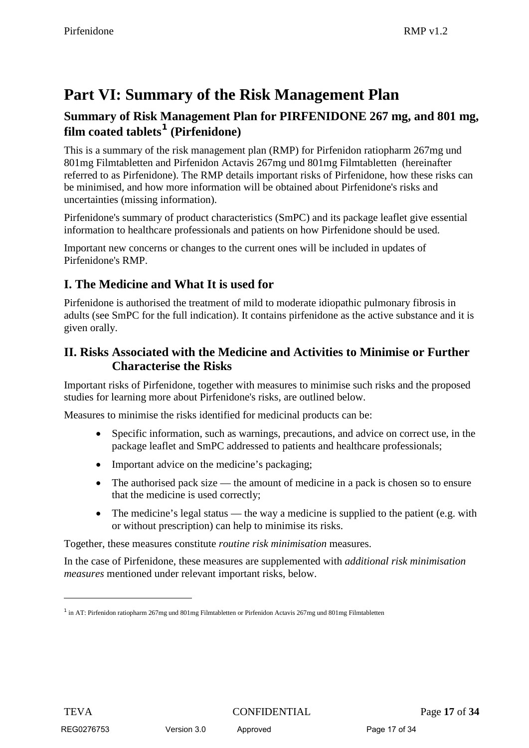# **Part VI: Summary of the Risk Management Plan**

### **Summary of Risk Management Plan for PIRFENIDONE 267 mg, and 801 mg, film coated tablets[1](#page-0-0) (Pirfenidone)**

This is a summary of the risk management plan (RMP) for Pirfenidon ratiopharm 267mg und 801mg Filmtabletten and Pirfenidon Actavis 267mg und 801mg Filmtabletten (hereinafter referred to as Pirfenidone). The RMP details important risks of Pirfenidone, how these risks can be minimised, and how more information will be obtained about Pirfenidone's risks and uncertainties (missing information).

Pirfenidone's summary of product characteristics (SmPC) and its package leaflet give essential information to healthcare professionals and patients on how Pirfenidone should be used.

Important new concerns or changes to the current ones will be included in updates of Pirfenidone's RMP.

### **I. The Medicine and What It is used for**

Pirfenidone is authorised the treatment of mild to moderate idiopathic pulmonary fibrosis in adults (see SmPC for the full indication). It contains pirfenidone as the active substance and it is given orally.

### **II. Risks Associated with the Medicine and Activities to Minimise or Further Characterise the Risks**

Important risks of Pirfenidone, together with measures to minimise such risks and the proposed studies for learning more about Pirfenidone's risks, are outlined below.

Measures to minimise the risks identified for medicinal products can be:

- Specific information, such as warnings, precautions, and advice on correct use, in the package leaflet and SmPC addressed to patients and healthcare professionals;
- Important advice on the medicine's packaging;
- The authorised pack size the amount of medicine in a pack is chosen so to ensure that the medicine is used correctly;
- The medicine's legal status the way a medicine is supplied to the patient (e.g. with or without prescription) can help to minimise its risks.

Together, these measures constitute *routine risk minimisation* measures.

In the case of Pirfenidone, these measures are supplemented with *additional risk minimisation measures* mentioned under relevant important risks, below.

-

<span id="page-0-0"></span> $1$  in AT: Pirfenidon ratiopharm 267mg und 801mg Filmtabletten or Pirfenidon Actavis 267mg und 801mg Filmtabletten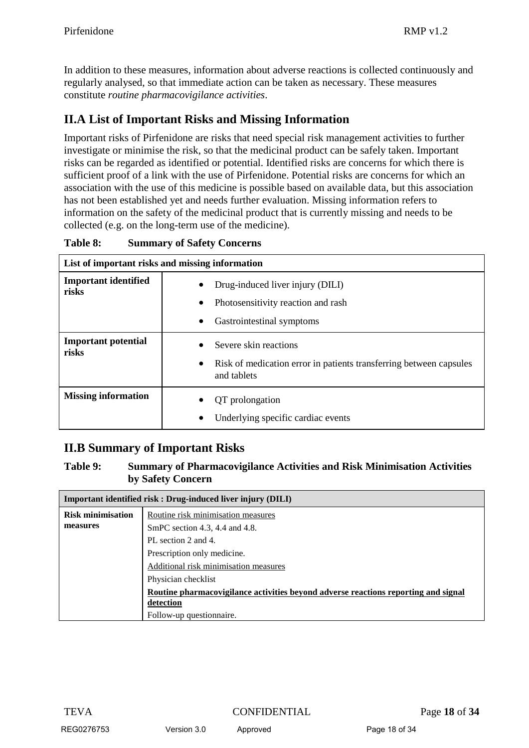In addition to these measures, information about adverse reactions is collected continuously and regularly analysed, so that immediate action can be taken as necessary. These measures constitute *routine pharmacovigilance activities*.

## **II.A List of Important Risks and Missing Information**

Important risks of Pirfenidone are risks that need special risk management activities to further investigate or minimise the risk, so that the medicinal product can be safely taken. Important risks can be regarded as identified or potential. Identified risks are concerns for which there is sufficient proof of a link with the use of Pirfenidone. Potential risks are concerns for which an association with the use of this medicine is possible based on available data, but this association has not been established yet and needs further evaluation. Missing information refers to information on the safety of the medicinal product that is currently missing and needs to be collected (e.g. on the long-term use of the medicine).

| Table 8: | <b>Summary of Safety Concerns</b> |  |
|----------|-----------------------------------|--|
|----------|-----------------------------------|--|

| List of important risks and missing information |                                                                                                                         |  |
|-------------------------------------------------|-------------------------------------------------------------------------------------------------------------------------|--|
| <b>Important identified</b><br>risks            | Drug-induced liver injury (DILI)<br>$\bullet$<br>Photosensitivity reaction and rash<br>Gastrointestinal symptoms        |  |
| <b>Important potential</b><br>risks             | Severe skin reactions<br>Risk of medication error in patients transferring between capsules<br>$\bullet$<br>and tablets |  |
| <b>Missing information</b>                      | QT prolongation<br>Underlying specific cardiac events<br>$\bullet$                                                      |  |

# **II.B Summary of Important Risks**

#### **Table 9: Summary of Pharmacovigilance Activities and Risk Minimisation Activities by Safety Concern**

| Important identified risk: Drug-induced liver injury (DILI) |                                                                                    |  |
|-------------------------------------------------------------|------------------------------------------------------------------------------------|--|
| <b>Risk minimisation</b>                                    | Routine risk minimisation measures                                                 |  |
| measures                                                    | SmPC section 4.3, 4.4 and 4.8.                                                     |  |
|                                                             | PL section 2 and 4.                                                                |  |
|                                                             | Prescription only medicine.                                                        |  |
|                                                             | Additional risk minimisation measures                                              |  |
|                                                             | Physician checklist                                                                |  |
|                                                             | Routine pharmacovigilance activities beyond adverse reactions reporting and signal |  |
|                                                             | detection                                                                          |  |
|                                                             | Follow-up questionnaire.                                                           |  |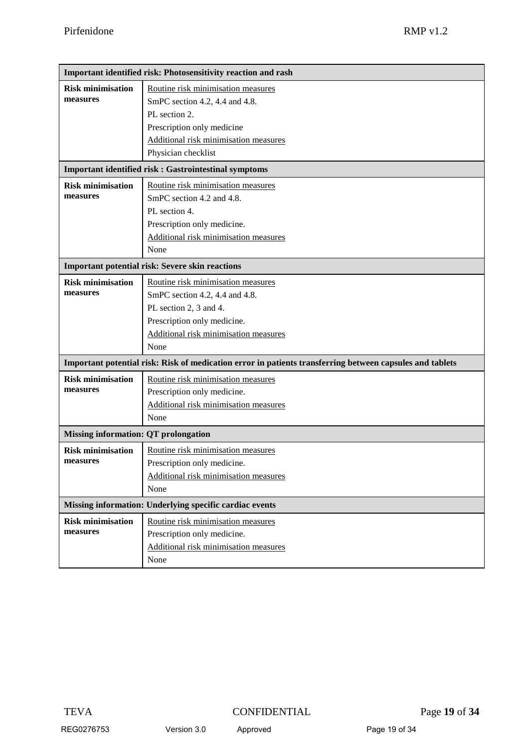| Important identified risk: Photosensitivity reaction and rash |                                                                                                                                                                                     |  |
|---------------------------------------------------------------|-------------------------------------------------------------------------------------------------------------------------------------------------------------------------------------|--|
| <b>Risk minimisation</b><br>measures                          | Routine risk minimisation measures<br>SmPC section 4.2, 4.4 and 4.8.<br>PL section 2.<br>Prescription only medicine<br>Additional risk minimisation measures<br>Physician checklist |  |
| <b>Important identified risk : Gastrointestinal symptoms</b>  |                                                                                                                                                                                     |  |
| <b>Risk minimisation</b><br>measures                          | Routine risk minimisation measures<br>SmPC section 4.2 and 4.8.<br>PL section 4.<br>Prescription only medicine.<br>Additional risk minimisation measures<br>None                    |  |
| <b>Important potential risk: Severe skin reactions</b>        |                                                                                                                                                                                     |  |
| <b>Risk minimisation</b><br>measures                          | Routine risk minimisation measures<br>SmPC section 4.2, 4.4 and 4.8.<br>PL section 2, 3 and 4.<br>Prescription only medicine.<br>Additional risk minimisation measures<br>None      |  |
|                                                               | Important potential risk: Risk of medication error in patients transferring between capsules and tablets                                                                            |  |
| <b>Risk minimisation</b><br>measures                          | Routine risk minimisation measures<br>Prescription only medicine.<br>Additional risk minimisation measures<br>None                                                                  |  |
| <b>Missing information: QT prolongation</b>                   |                                                                                                                                                                                     |  |
| <b>Risk minimisation</b><br>measures                          | Routine risk minimisation measures<br>Prescription only medicine.<br>Additional risk minimisation measures<br>None                                                                  |  |
| Missing information: Underlying specific cardiac events       |                                                                                                                                                                                     |  |
| <b>Risk minimisation</b><br>measures                          | Routine risk minimisation measures<br>Prescription only medicine.<br>Additional risk minimisation measures<br>None                                                                  |  |